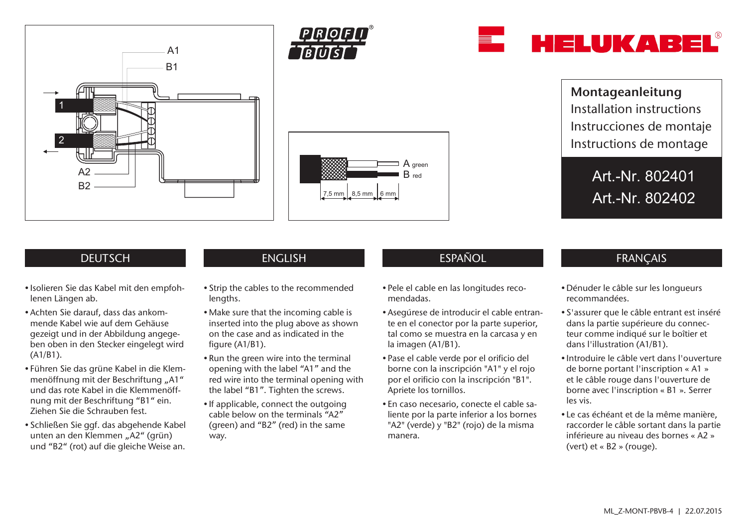



 $7.5$  mm  $\frac{1}{6}$  8.5 mm



Montageanleitung Installation instructions Instrucciones de montaje Instructions de montage

> Art.-Nr. 802401 Art.-Nr. 802402

- Isolieren Sie das Kabel mit den empfohlenen Längen ab.
- Achten Sie darauf, dass das ankommende Kabel wie auf dem Gehäuse gezeigt und in der Abbildung angegeben oben in den Stecker eingelegt wird (A1/B1).
- Führen Sie das grüne Kabel in die Klemmenöffnung mit der Beschriftung "A1" und das rote Kabel in die Klemmenöffnung mit der Beschriftung "B1" ein. Ziehen Sie die Schrauben fest.
- Schließen Sie ggf. das abgehende Kabel unten an den Klemmen "A2" (grün) und "B2" (rot) auf die gleiche Weise an.

- Strip the cables to the recommended lengths.
- Make sure that the incoming cable is inserted into the plug above as shown on the case and as indicated in the figure (A1/B1).
- Run the green wire into the terminal opening with the label "A1" and the red wire into the terminal opening with the label "B1". Tighten the screws.
- If applicable, connect the outgoing cable below on the terminals "A2" (green) and "B2" (red) in the same way.

# DEUTSCH ENGLISH ESPAÑOL FRANÇAIS

A green B red

- Pele el cable en las longitudes recomendadas.
- Asegúrese de introducir el cable entrante en el conector por la parte superior, tal como se muestra en la carcasa y en la imagen (A1/B1).
- Pase el cable verde por el orificio del borne con la inscripción "A1" y el rojo por el orificio con la inscripción "B1". Apriete los tornillos.
- En caso necesario, conecte el cable saliente por la parte inferior a los bornes "A2" (verde) y "B2" (rojo) de la misma manera.

- Dénuder le câble sur les longueurs recommandées.
- S'assurer que le câble entrant est inséré dans la partie supérieure du connecteur comme indiqué sur le boîtier et dans l'illustration (A1/B1).
- Introduire le câble vert dans l'ouverture de borne portant l'inscription « A1 » et le câble rouge dans l'ouverture de borne avec l'inscription « B1 ». Serrer les vis.
- Le cas échéant et de la même manière, raccorder le câble sortant dans la partie inférieure au niveau des bornes « A2 » (vert) et « B2 » (rouge).